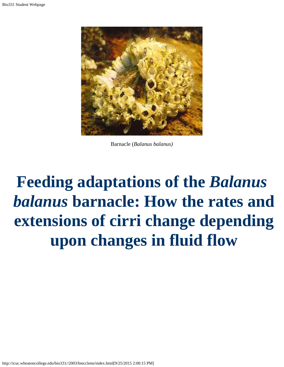<span id="page-0-0"></span>

Barnacle (*Balanus balanus)*

# **Feeding adaptations of the** *Balanus balanus* **barnacle: How the rates and extensions of cirri change depending upon changes in fluid flow**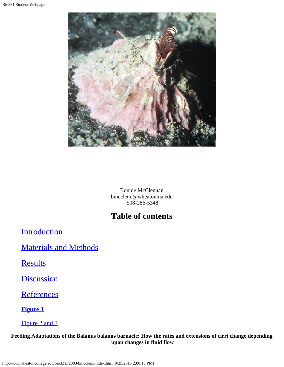

Bonnie McClennan bmcclenn@wheatonma.edu 508-286-5348

# **Table of contents**

**[Introduction](#page-0-0)** 

[Materials and Methods](#page-0-0)

**[Results](#page-0-0)** 

**[Discussion](#page-0-0)** 

**[References](#page-0-0)** 

**[Figure 1](#page-4-0)**

[Figure 2 and 3](#page-4-1)

**Feeding Adaptations of the Balanus balanus barnacle: How the rates and extensions of cirri change depending upon changes in fluid flow**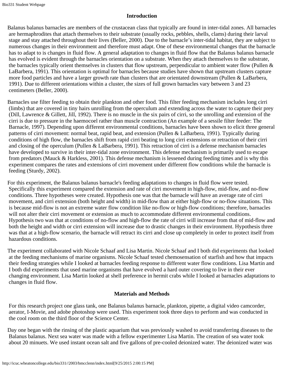### **Introduction**

Balanus balanus barnacles are members of the crustacean class that typically are found in inter-tidal zones. All barnacles are hermaphrodites that attach themselves to their substrate (usually rocks, pebbles, shells, clams) during their larval stage and stay attached throughout their lives (Beller, 2000). Due to the barnacle's inter-tidal habitat, they are subject to numerous changes in their environment and therefore must adapt. One of these environmental changes that the barnacle has to adapt to is changes in fluid flow. A general adaptation to changes in fluid flow that the Balanus balanus barnacle has evolved is evident through the barnacles orientation on a substrate. When they attach themselves to the substrate, the barnacles typically orient themselves in clusters that flow upstream, perpendicular to ambient water flow (Pullen & LaBarbera, 1991). This orientation is optimal for barnacles because studies have shown that upstream clusters capture more food particles and have a larger growth rate than clusters that are orientated downstream (Pullen & LaBarbera, 1991). Due to different orientations within a cluster, the sizes of full grown barnacles vary between 3 and 23 centimeters (Beller, 2000).

Barnacles use filter feeding to obtain their plankton and other food. This filter feeding mechanism includes long cirri (limbs) that are covered in tiny hairs unrolling from the operculum and extending across the water to capture their prey (Dill, Lawrence & Gillett, Jill, 1992). There is no muscle in the six pairs of cirri, so the unrolling and extension of the cirri is due to pressure in the haemocoel rather than muscle contraction (An example of a sessile filter feeder: The Barnacle, 1997). Depending upon different environmental conditions, barnacles have been shown to elicit three general patterns of cirri movement: normal beat, rapid beat, and extension (Pullen & LaBarbera, 1991). Typically during conditions of high flow, the barnacles shift from rapid cirri beating to long cirri extensions or retraction of their cirri and closing of the operculum (Pullen & LaBarbera, 1991). This retraction of cirri is a defense mechanism barnacles have developed to survive in their inter-tidal zone environment. This defense mechanism is primarily used to escape from predators (Mauck & Harkless, 2001). This defense mechanism is lessened during feeding times and is why this experiment compares the rates and extensions of cirri movement under different flow conditions while the barnacle is feeding (Sturdy, 2002).

For this experiment, the Balanus balanus barnacle's feeding adaptations to changes in fluid flow were tested. Specifically this experiment compared the extension and rate of cirri movement in high-flow, mid-flow, and no-flow conditions. Three hypotheses were created. Hypothesis one was that the barnacle will have an average rate of cirri movement, and cirri extension (both height and width) in mid-flow than at either high-flow or no-flow situations. This is because mid-flow is not an extreme water flow condition like no-flow or high-flow conditions; therefore, barnacles will not alter their cirri movement or extension as much to accommodate different environmental conditions. Hypothesis two was that at conditions of no-flow and high-flow the rate of cirri will increase from that of mid-flow and both the height and width or cirri extension will increase due to drastic changes in their environment. Hypothesis three was that at a high-flow scenario, the barnacle will retract its cirri and close up completely in order to protect itself from hazardous conditions.

The experiment collaborated with Nicole Schaaf and Lisa Martin. Nicole Schaaf and I both did experiments that looked at the feeding mechanisms of marine organisms. Nicole Schaaf tested chemosensation of starfish and how that impacts their feeding strategies while I looked at barnacles feeding response to different water flow conditions. Lisa Martin and I both did experiments that used marine organisms that have evolved a hard outer covering to live in their ever changing environment. Lisa Martin looked at shell preference in hermit crabs while I looked at barnacles adaptations to changes in fluid flow.

## **Materials and Methods**

 For this research project one glass tank, one Balanus balanus barnacle, plankton, pipette, a digital video camcorder, aerator, I-Movie, and adobe photoshop were used. This experiment took three days to perform and was conducted in the cool room on the third floor of the Science Center.

Day one began with the rinsing of the plastic aquarium that was previously washed to avoid transferring diseases to the Balanus balanus. Next sea water was made with a fellow experimenter Lisa Martin. The creation of sea water took about 20 minuets. We used instant ocean salt and five gallons of pre-cooled deionized water. The deionized water was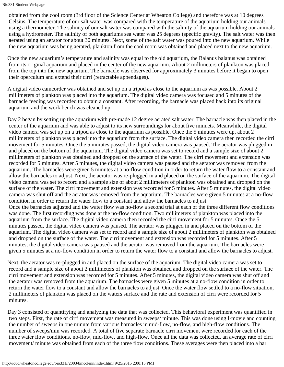obtained from the cool room (3rd floor of the Science Center at Wheaton College) and therefore was at 10 degrees Celsius. The temperature of our salt water was compared with the temperature of the aquarium holding our animals using a thermometer. The salinity of our salt water was compared with the salinity of the aquarium holding our animals using a hydrometer. The salinity of both aquariums sea water was 25 degrees (specific gravity). The salt water was then aerated using an aerator for about 30 minutes. Next, some of the salt water was poured into the new aquarium. While the new aquarium was being aerated, plankton from the cool room was obtained and placed next to the new aquarium.

Once the new aquarium's temperature and salinity was equal to the old aquarium, the Balanus balanus was obtained from its original aquarium and placed in the center of the new aquarium. About 2 millimeters of plankton was placed from the top into the new aquarium. The barnacle was observed for approximately 3 minutes before it began to open their operculum and extend their cirri (retractable appendages).

A digital video camcorder was obtained and set up on a tripod as close to the aquarium as was possible. About 2 millimeters of plankton was placed into the aquarium. The digital video camera was focused and 5 minutes of the barnacle feeding was recorded to obtain a constant. After recording, the barnacle was placed back into its original aquarium and the work bench was cleaned up.

Day 2 began by setting up the aquarium with pre-made 12 degree aerated salt water. The barnacle was then placed in the center of the aquarium and was able to adjust to its new surroundings for about five minuets. Meanwhile, the digital video camera was set up on a tripod as close to the aquarium as possible. Once the 5 minutes were up, about 2 millimeters of plankton was placed into the aquarium from the surface. The digital video camera then recorded the cirri movement for 5 minutes. Once the 5 minutes passed, the digital video camera was paused. The aerator was plugged in and placed on the bottom of the aquarium. The digital video camera was set to record and a sample size of about 2 millimeters of plankton was obtained and dropped on the surface of the water. The cirri movement and extension was recorded for 5 minutes. After 5 minutes, the digital video camera was paused and the aerator was removed from the aquarium. The barnacles were given 5 minutes at a no-flow condition in order to return the water flow to a constant and allow the barnacles to adjust. Next, the aerator was re-plugged in and placed on the surface of the aquarium. The digital video camera was set to record and a sample size of about 2 millimeters of plankton was obtained and dropped on the surface of the water. The cirri movement and extension was recorded for 5 minutes. After 5 minutes, the digital video camera was shut off and the aerator was removed from the aquarium. The barnacles were given 5 minutes at a no-flow condition in order to return the water flow to a constant and allow the barnacles to adjust. Once the barnacles adjusted and the water flow was no-flow a second trial at each of the three different flow conditions was done. The first recording was done at the no-flow condition. Two millimeters of plankton was placed into the aquarium from the surface. The digital video camera then recorded the cirri movement for 5 minutes. Once the 5 minutes passed, the digital video camera was paused. The aerator was plugged in and placed on the bottom of the aquarium. The digital video camera was set to record and a sample size of about 2 millimeters of plankton was obtained and dropped on the surface of the water. The cirri movement and extension was recorded for 5 minutes. After 5 minutes, the digital video camera was paused and the aerator was removed from the aquarium. The barnacles were

given 5 minutes at a no-flow condition in order to return the water flow to a constant and allow the barnacles to adjust.

Next, the aerator was re-plugged in and placed on the surface of the aquarium. The digital video camera was set to record and a sample size of about 2 millimeters of plankton was obtained and dropped on the surface of the water. The cirri movement and extension was recorded for 5 minutes. After 5 minutes, the digital video camera was shut off and the aerator was removed from the aquarium. The barnacles were given 5 minutes at a no-flow condition in order to return the water flow to a constant and allow the barnacles to adjust. Once the water flow settled to a no-flow situation, 2 millimeters of plankton was placed on the waters surface and the rate and extension of cirri were recorded for 5 minutes.

Day 3 consisted of quantifying and analyzing the data that was collected. This behavioral experiment was quantified in two steps. First, the rate of cirri movement was measured in sweeps/ minute. This was done using I-movie and counting the number of sweeps in one minute from various barnacles in mid-flow, no-flow, and high-flow conditions. The number of sweeps/min was recorded. A total of five separate barnacle cirri movement were recorded for each of the three water flow conditions, no-flow, mid-flow, and high-flow. Once all the data was collected, an average rate of cirri movement/ minute was obtained from each of the three flow conditions. These averages were then placed into a bar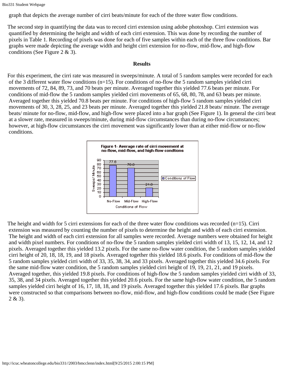Bio331 Student Webpage

graph that depicts the average number of cirri beats/minute for each of the three water flow conditions.

The second step in quantifying the data was to record cirri extension using adobe photoshop. Cirri extension was quantified by determining the height and width of each cirri extension. This was done by recording the number of pixels in Table 1. Recording of pixels was done for each of five samples within each of the three flow conditions. Bar graphs were made depicting the average width and height cirri extension for no-flow, mid-flow, and high-flow conditions (See Figure 2 & 3).

#### **Results**

For this experiment, the cirri rate was measured in sweeps/minute. A total of 5 random samples were recorded for each of the 3 different water flow conditions  $(n=15)$ . For conditions of no-flow the 5 random samples yielded cirri movements of 72, 84, 89, 73, and 70 beats per minute. Averaged together this yielded 77.6 beats per minute. For conditions of mid-flow the 5 random samples yielded cirri movements of 65, 68, 80, 78, and 63 beats per minute. Averaged together this yielded 70.8 beats per minute. For conditions of high-flow 5 random samples yielded cirri movements of 30, 3, 28, 25, and 23 beats per minute. Averaged together this yielded 21.8 beats/ minute. The average beats/ minute for no-flow, mid-flow, and high-flow were placed into a bar graph (See Figure 1). In general the cirri beat at a slower rate, measured in sweeps/minute, during mid-flow circumstances than during no-flow circumstances; however, at high-flow circumstances the cirri movement was significantly lower than at either mid-flow or no-flow conditions.



<span id="page-4-1"></span><span id="page-4-0"></span>The height and width for 5 cirri extensions for each of the three water flow conditions was recorded (n=15). Cirri extension was measured by counting the number of pixels to determine the height and width of each cirri extension. The height and width of each cirri extension for all samples were recorded. Average numbers were obtained for height and width pixel numbers. For conditions of no-flow the 5 random samples yielded cirri width of 13, 15, 12, 14, and 12 pixels. Averaged together this yielded 13.2 pixels. For the same no-flow water condition, the 5 random samples yielded cirri height of 20, 18, 18, 19, and 18 pixels. Averaged together this yielded 18.6 pixels. For conditions of mid-flow the 5 random samples yielded cirri width of 33, 35, 38, 34, and 33 pixels. Averaged together this yielded 34.6 pixels. For the same mid-flow water condition, the 5 random samples yielded cirri height of 19, 19, 21, 21, and 19 pixels. Averaged together, this yielded 19.8 pixels. For conditions of high-flow the 5 random samples yielded cirri width of 33, 35, 38, and 34 pixels. Averaged together this yielded 20.6 pixels. For the same high-flow water condition, the 5 random samples yielded cirri height of 16, 17, 18, 18, and 19 pixels. Averaged together this yielded 17.6 pixels. Bar graphs were constructed so that comparisons between no-flow, mid-flow, and high-flow conditions could be made (See Figure 2 & 3).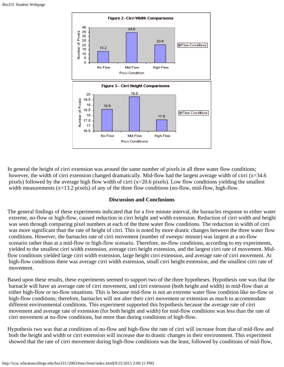

In general the height of cirri extension was around the same number of pixels in all three water flow conditions; however, the width of cirri extension changed dramatically. Mid-flow had the largest average width of cirri (x=34.6) pixels) followed by the average high flow width of cirri (x=20.6 pixels). Low flow conditions yielding the smallest width measurements (x=13.2 pixels) of any of the three flow conditions (no-flow, mid-flow, high-flow.

#### **Discussion and Conclusions**

The general findings of these experiments indicated that for a five minute interval, the barnacles response to either water extreme, no-flow or high-flow, caused reduction in cirri height and width extension. Reduction of cirri width and height was seen through comparing pixel numbers at each of the three water flow conditions. The reduction in width of cirri was more significant than the rate of height of cirri. This is noted by more drastic changes between the three water flow conditions. However, the barnacles rate of cirri movement (number of sweeps/ minute) was largest at a no-flow scenario rather than at a mid-flow or high-flow scenario. Therefore, no-flow conditions, according to my experiments, yielded to the smallest cirri width extension, average cirri height extension, and the largest cirri rate of movement. Midflow conditions yielded large cirri width extension, large height cirri extension, and average rate of cirri movement. At high-flow conditions there was average cirri width extension, small cirri height extension, and the smallest cirri rate of movement.

Based upon these results, these experiments seemed to support two of the three hypotheses. Hypothesis one was that the barnacle will have an average rate of cirri movement, and cirri extension (both height and width) in mid-flow than at either high-flow or no-flow situations. This is because mid-flow is not an extreme water flow condition like no-flow or high-flow conditions; therefore, barnacles will not alter their cirri movement or extension as much to accommodate different environmental conditions. This experiment supported this hypothesis because the average rate of cirri movement and average rate of extension (for both height and width) for mid-flow conditions was less than the rate of cirri movement at no-flow conditions, but more than during conditions of high-flow.

Hypothesis two was that at conditions of no-flow and high-flow the rate of cirri will increase from that of mid-flow and both the height and width or cirri extension will increase due to drastic changes in their environment. This experiment showed that the rate of cirri movement during high-flow conditions was the least, followed by conditions of mid-flow,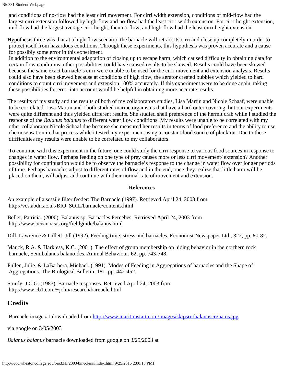```
Bio331 Student Webpage
```
 and conditions of no-flow had the least cirri movement. For cirri width extension, conditions of mid-flow had the largest cirri extension followed by high-flow and no-flow had the least cirri width extension. For cirri height extension, mid-flow had the largest average cirri height, then no-flow, and high-flow had the least cirri height extension.

Hypothesis three was that at a high-flow scenario, the barnacle will retract its cirri and close up completely in order to protect itself from hazardous conditions. Through these experiments, this hypothesis was proven accurate and a cause for possibly some error in this experiment.

In addition to the environmental adaptation of closing up to escape harm, which caused difficulty in obtaining data for certain flow conditions, other possibilities could have caused results to be skewed. Results could have been skewed because the same exact barnacle's cirri were unable to be used for the cirri movement and extension analysis. Results could also have been skewed because at conditions of high flow, the aerator created bubbles which yielded to hard conditions to count cirri movement and extension 100% accurately. If this experiment were to be done again, taking these possibilities for error into account would be helpful in obtaining more accurate results.

The results of my study and the results of both of my collaborators studies, Lisa Martin and Nicole Schaaf, were unable to be correlated. Lisa Martin and I both studied marine organisms that have a hard outer covering, but our experiments were quite different and thus yielded different results. She studied shell preference of the hermit crab while I studied the response of the *Balanus balanus* to different water flow conditions. My results were unable to be correlated with my other collaborator Nicole Schaaf due because she measured her results in terms of food preference and the ability to use chemosensation in that process while i tested my experiment using a constant food source of plankton. Due to these diffficulties my results were unable to be correlated to my collaborators.

 To continue with this experiment in the future, one could study the cirri response to various food sources in response to changes in water flow. Perhaps feeding on one type of prey causes more or less cirri movement/ extension? Another possibility for continuation would be to observe the barnacle's response to the change in water flow over longer periods of time. Perhaps barnacles adjust to different rates of flow and in the end, once they realize that little harm will be placed on them, will adjust and continue with their normal rate of movement and extension.

## **References**

An example of a sessile filter feeder: The Barnacle (1997). Retrieved April 24, 2003 from http://vcs.abdn.ac.uk/BIO\_SOIL/barnacle/contents.html

| Beller, Patricia. (2000). Balanus sp. Barnacles Percebes. Retrieved April 24, 2003 from |  |  |  |  |
|-----------------------------------------------------------------------------------------|--|--|--|--|
| http://www.oceanoasis.org/fieldguide/balanus.html                                       |  |  |  |  |

Dill, Lawrence & Gillett, Jill (1992). Feeding time: stress and barnacles. Economist Newspaper Ltd., 322, pp. 80-82.

Mauck, R.A. & Harkless, K.C. (2001). The effect of group membership on hiding behavior in the northern rock barnacle, Semibalanus balanoides. Animal Behaviour, 62, pp. 743-748.

Pullen, Julie. & LaBarbera, Michael. (1991). Modes of Feeding in Aggregations of barnacles and the Shape of Aggregations. The Biological Bulletin, 181, pp. 442-452.

Sturdy, J.C.G. (1983). Barnacle responses. Retrieved April 24, 2003 from http://www.cb1.com/~john/research/barnacle.html

# **Credits**

Barnacle image #1 downloaded from <http://www.maritimstart.com/images/skipsrurbalanuscrenatus.jpg>

via google on 3/05/2003

*Balanus balanus* barnacle downloaded from google on 3/25/2003 at